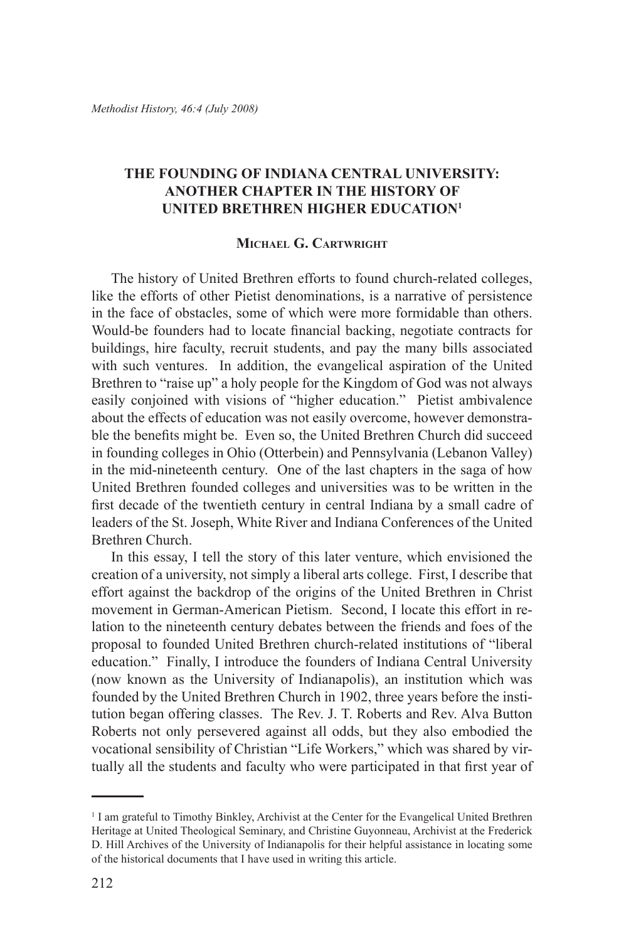# **The Founding of Indiana Central University: Another Chapter in the History of United Brethren Higher Education1**

### **Michael G. Cartwright**

The history of United Brethren efforts to found church-related colleges, like the efforts of other Pietist denominations, is a narrative of persistence in the face of obstacles, some of which were more formidable than others. Would-be founders had to locate financial backing, negotiate contracts for buildings, hire faculty, recruit students, and pay the many bills associated with such ventures. In addition, the evangelical aspiration of the United Brethren to "raise up" a holy people for the Kingdom of God was not always easily conjoined with visions of "higher education." Pietist ambivalence about the effects of education was not easily overcome, however demonstrable the benefits might be. Even so, the United Brethren Church did succeed in founding colleges in Ohio (Otterbein) and Pennsylvania (Lebanon Valley) in the mid-nineteenth century. One of the last chapters in the saga of how United Brethren founded colleges and universities was to be written in the first decade of the twentieth century in central Indiana by a small cadre of leaders of the St. Joseph, White River and Indiana Conferences of the United Brethren Church.

In this essay, I tell the story of this later venture, which envisioned the creation of a university, not simply a liberal arts college. First, I describe that effort against the backdrop of the origins of the United Brethren in Christ movement in German-American Pietism. Second, I locate this effort in relation to the nineteenth century debates between the friends and foes of the proposal to founded United Brethren church-related institutions of "liberal education." Finally, I introduce the founders of Indiana Central University (now known as the University of Indianapolis), an institution which was founded by the United Brethren Church in 1902, three years before the institution began offering classes. The Rev. J. T. Roberts and Rev. Alva Button Roberts not only persevered against all odds, but they also embodied the vocational sensibility of Christian "Life Workers," which was shared by virtually all the students and faculty who were participated in that first year of

<sup>&</sup>lt;sup>1</sup> I am grateful to Timothy Binkley, Archivist at the Center for the Evangelical United Brethren Heritage at United Theological Seminary, and Christine Guyonneau, Archivist at the Frederick D. Hill Archives of the University of Indianapolis for their helpful assistance in locating some of the historical documents that I have used in writing this article.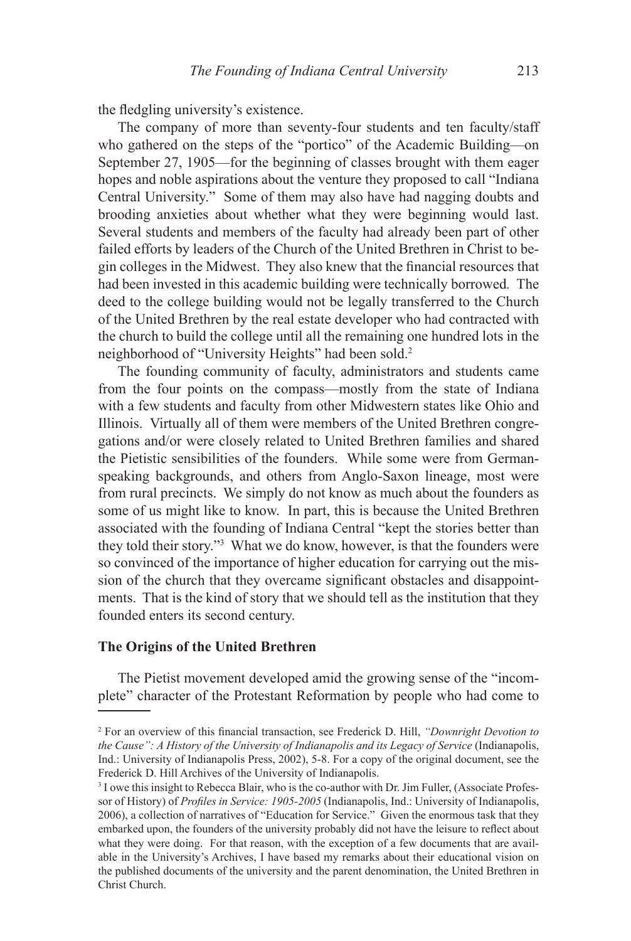the fledgling university's existence.

The company of more than seventy-four students and ten faculty/staff who gathered on the steps of the "portico" of the Academic Building—on September 27, 1905—for the beginning of classes brought with them eager hopes and noble aspirations about the venture they proposed to call "Indiana Central University." Some of them may also have had nagging doubts and brooding anxieties about whether what they were beginning would last. Several students and members of the faculty had already been part of other failed efforts by leaders of the Church of the United Brethren in Christ to begin colleges in the Midwest. They also knew that the financial resources that had been invested in this academic building were technically borrowed*.* The deed to the college building would not be legally transferred to the Church of the United Brethren by the real estate developer who had contracted with the church to build the college until all the remaining one hundred lots in the neighborhood of "University Heights" had been sold.2

The founding community of faculty, administrators and students came from the four points on the compass—mostly from the state of Indiana with a few students and faculty from other Midwestern states like Ohio and Illinois. Virtually all of them were members of the United Brethren congregations and/or were closely related to United Brethren families and shared the Pietistic sensibilities of the founders. While some were from Germanspeaking backgrounds, and others from Anglo-Saxon lineage, most were from rural precincts. We simply do not know as much about the founders as some of us might like to know. In part, this is because the United Brethren associated with the founding of Indiana Central "kept the stories better than they told their story."3 What we do know, however, is that the founders were so convinced of the importance of higher education for carrying out the mission of the church that they overcame significant obstacles and disappointments. That is the kind of story that we should tell as the institution that they founded enters its second century.

### **The Origins of the United Brethren**

The Pietist movement developed amid the growing sense of the "incomplete" character of the Protestant Reformation by people who had come to

<sup>2</sup> For an overview of this financial transaction, see Frederick D. Hill, *"Downright Devotion to the Cause": A History of the University of Indianapolis and its Legacy of Service* (Indianapolis, Ind.: University of Indianapolis Press, 2002), 5-8. For a copy of the original document, see the Frederick D. Hill Archives of the University of Indianapolis.

<sup>&</sup>lt;sup>3</sup> I owe this insight to Rebecca Blair, who is the co-author with Dr. Jim Fuller, (Associate Professor of History) of *Profiles in Service: 1905-2005* (Indianapolis, Ind.: University of Indianapolis, 2006), a collection of narratives of "Education for Service." Given the enormous task that they embarked upon, the founders of the university probably did not have the leisure to reflect about what they were doing. For that reason, with the exception of a few documents that are available in the University's Archives, I have based my remarks about their educational vision on the published documents of the university and the parent denomination, the United Brethren in Christ Church.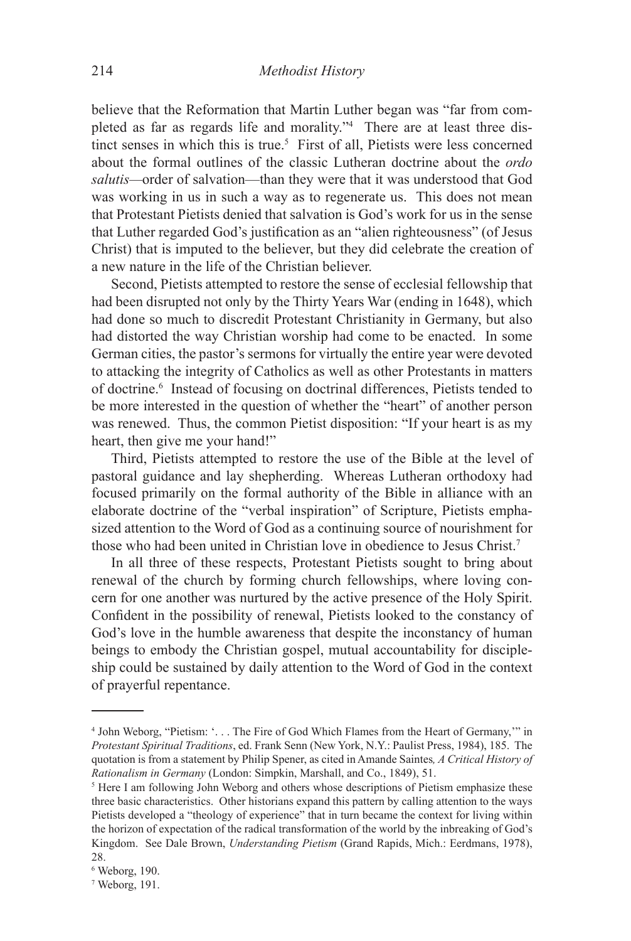believe that the Reformation that Martin Luther began was "far from completed as far as regards life and morality."4 There are at least three distinct senses in which this is true.<sup>5</sup> First of all, Pietists were less concerned about the formal outlines of the classic Lutheran doctrine about the *ordo salutis—*order of salvation—than they were that it was understood that God was working in us in such a way as to regenerate us. This does not mean that Protestant Pietists denied that salvation is God's work for us in the sense that Luther regarded God's justification as an "alien righteousness" (of Jesus Christ) that is imputed to the believer, but they did celebrate the creation of a new nature in the life of the Christian believer.

Second, Pietists attempted to restore the sense of ecclesial fellowship that had been disrupted not only by the Thirty Years War (ending in 1648), which had done so much to discredit Protestant Christianity in Germany, but also had distorted the way Christian worship had come to be enacted. In some German cities, the pastor's sermons for virtually the entire year were devoted to attacking the integrity of Catholics as well as other Protestants in matters of doctrine.<sup>6</sup> Instead of focusing on doctrinal differences, Pietists tended to be more interested in the question of whether the "heart" of another person was renewed. Thus, the common Pietist disposition: "If your heart is as my heart, then give me your hand!"

Third, Pietists attempted to restore the use of the Bible at the level of pastoral guidance and lay shepherding. Whereas Lutheran orthodoxy had focused primarily on the formal authority of the Bible in alliance with an elaborate doctrine of the "verbal inspiration" of Scripture, Pietists emphasized attention to the Word of God as a continuing source of nourishment for those who had been united in Christian love in obedience to Jesus Christ.7

In all three of these respects, Protestant Pietists sought to bring about renewal of the church by forming church fellowships, where loving concern for one another was nurtured by the active presence of the Holy Spirit. Confident in the possibility of renewal, Pietists looked to the constancy of God's love in the humble awareness that despite the inconstancy of human beings to embody the Christian gospel, mutual accountability for discipleship could be sustained by daily attention to the Word of God in the context of prayerful repentance.

<sup>4</sup> John Weborg, "Pietism: '. . . The Fire of God Which Flames from the Heart of Germany,'" in *Protestant Spiritual Traditions*, ed. Frank Senn (New York, N.Y.: Paulist Press, 1984), 185. The quotation is from a statement by Philip Spener, as cited in Amande Saintes*, A Critical History of Rationalism in Germany* (London: Simpkin, Marshall, and Co., 1849), 51.

<sup>&</sup>lt;sup>5</sup> Here I am following John Weborg and others whose descriptions of Pietism emphasize these three basic characteristics. Other historians expand this pattern by calling attention to the ways Pietists developed a "theology of experience" that in turn became the context for living within the horizon of expectation of the radical transformation of the world by the inbreaking of God's Kingdom. See Dale Brown, *Understanding Pietism* (Grand Rapids, Mich.: Eerdmans, 1978), 28.

<sup>6</sup> Weborg, 190.

<sup>7</sup> Weborg, 191.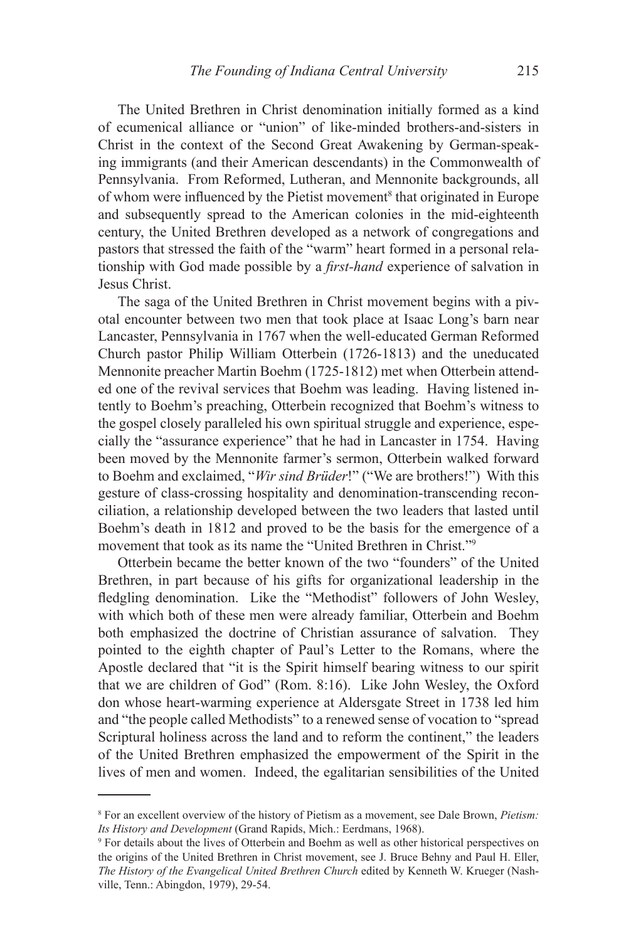The United Brethren in Christ denomination initially formed as a kind of ecumenical alliance or "union" of like-minded brothers-and-sisters in Christ in the context of the Second Great Awakening by German-speaking immigrants (and their American descendants) in the Commonwealth of Pennsylvania. From Reformed, Lutheran, and Mennonite backgrounds, all of whom were influenced by the Pietist movement<sup>8</sup> that originated in Europe and subsequently spread to the American colonies in the mid-eighteenth century, the United Brethren developed as a network of congregations and pastors that stressed the faith of the "warm" heart formed in a personal relationship with God made possible by a *first-hand* experience of salvation in Jesus Christ.

The saga of the United Brethren in Christ movement begins with a pivotal encounter between two men that took place at Isaac Long's barn near Lancaster, Pennsylvania in 1767 when the well-educated German Reformed Church pastor Philip William Otterbein (1726-1813) and the uneducated Mennonite preacher Martin Boehm (1725-1812) met when Otterbein attended one of the revival services that Boehm was leading. Having listened intently to Boehm's preaching, Otterbein recognized that Boehm's witness to the gospel closely paralleled his own spiritual struggle and experience, especially the "assurance experience" that he had in Lancaster in 1754. Having been moved by the Mennonite farmer's sermon, Otterbein walked forward to Boehm and exclaimed, "*Wir sind Brüder*!" ("We are brothers!") With this gesture of class-crossing hospitality and denomination-transcending reconciliation, a relationship developed between the two leaders that lasted until Boehm's death in 1812 and proved to be the basis for the emergence of a movement that took as its name the "United Brethren in Christ."9

Otterbein became the better known of the two "founders" of the United Brethren, in part because of his gifts for organizational leadership in the fledgling denomination. Like the "Methodist" followers of John Wesley, with which both of these men were already familiar, Otterbein and Boehm both emphasized the doctrine of Christian assurance of salvation. They pointed to the eighth chapter of Paul's Letter to the Romans, where the Apostle declared that "it is the Spirit himself bearing witness to our spirit that we are children of God" (Rom. 8:16). Like John Wesley, the Oxford don whose heart-warming experience at Aldersgate Street in 1738 led him and "the people called Methodists" to a renewed sense of vocation to "spread Scriptural holiness across the land and to reform the continent," the leaders of the United Brethren emphasized the empowerment of the Spirit in the lives of men and women. Indeed, the egalitarian sensibilities of the United

<sup>8</sup> For an excellent overview of the history of Pietism as a movement, see Dale Brown, *Pietism: Its History and Development* (Grand Rapids, Mich.: Eerdmans, 1968).

For details about the lives of Otterbein and Boehm as well as other historical perspectives on the origins of the United Brethren in Christ movement, see J. Bruce Behny and Paul H. Eller, *The History of the Evangelical United Brethren Church* edited by Kenneth W. Krueger (Nashville, Tenn.: Abingdon, 1979), 29-54.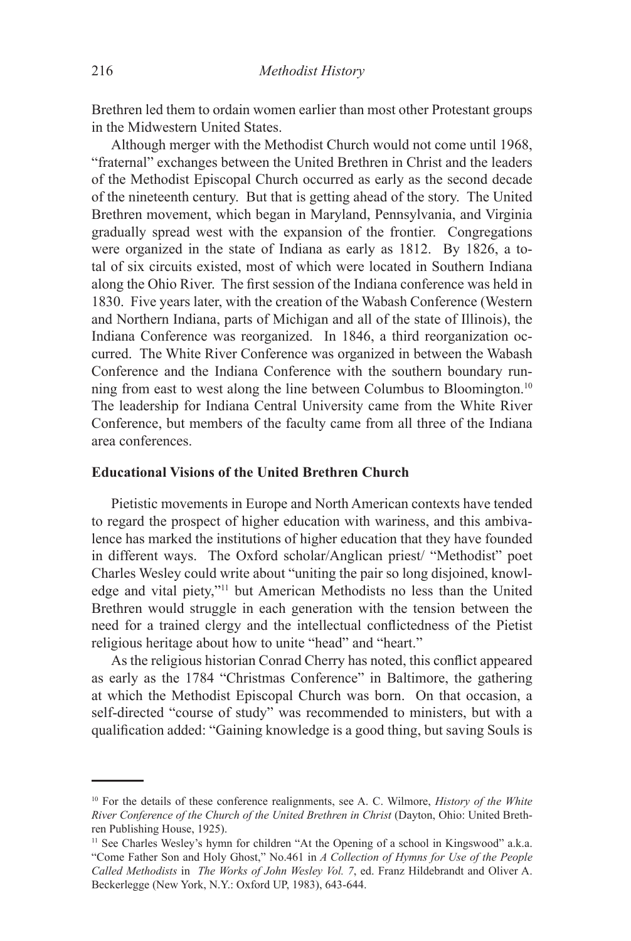Brethren led them to ordain women earlier than most other Protestant groups in the Midwestern United States.

Although merger with the Methodist Church would not come until 1968, "fraternal" exchanges between the United Brethren in Christ and the leaders of the Methodist Episcopal Church occurred as early as the second decade of the nineteenth century. But that is getting ahead of the story. The United Brethren movement, which began in Maryland, Pennsylvania, and Virginia gradually spread west with the expansion of the frontier. Congregations were organized in the state of Indiana as early as 1812. By 1826, a total of six circuits existed, most of which were located in Southern Indiana along the Ohio River. The first session of the Indiana conference was held in 1830. Five years later, with the creation of the Wabash Conference (Western and Northern Indiana, parts of Michigan and all of the state of Illinois), the Indiana Conference was reorganized. In 1846, a third reorganization occurred. The White River Conference was organized in between the Wabash Conference and the Indiana Conference with the southern boundary running from east to west along the line between Columbus to Bloomington.10 The leadership for Indiana Central University came from the White River Conference, but members of the faculty came from all three of the Indiana area conferences.

# **Educational Visions of the United Brethren Church**

Pietistic movements in Europe and North American contexts have tended to regard the prospect of higher education with wariness, and this ambivalence has marked the institutions of higher education that they have founded in different ways. The Oxford scholar/Anglican priest/ "Methodist" poet Charles Wesley could write about "uniting the pair so long disjoined, knowledge and vital piety,"11 but American Methodists no less than the United Brethren would struggle in each generation with the tension between the need for a trained clergy and the intellectual conflictedness of the Pietist religious heritage about how to unite "head" and "heart."

As the religious historian Conrad Cherry has noted, this conflict appeared as early as the 1784 "Christmas Conference" in Baltimore, the gathering at which the Methodist Episcopal Church was born. On that occasion, a self-directed "course of study" was recommended to ministers, but with a qualification added: "Gaining knowledge is a good thing, but saving Souls is

<sup>10</sup> For the details of these conference realignments, see A. C. Wilmore, *History of the White River Conference of the Church of the United Brethren in Christ* (Dayton, Ohio: United Brethren Publishing House, 1925).

<sup>&</sup>lt;sup>11</sup> See Charles Wesley's hymn for children "At the Opening of a school in Kingswood" a.k.a. "Come Father Son and Holy Ghost," No.461 in *A Collection of Hymns for Use of the People Called Methodists* in *The Works of John Wesley Vol. 7*, ed. Franz Hildebrandt and Oliver A. Beckerlegge (New York, N.Y.: Oxford UP, 1983), 643-644.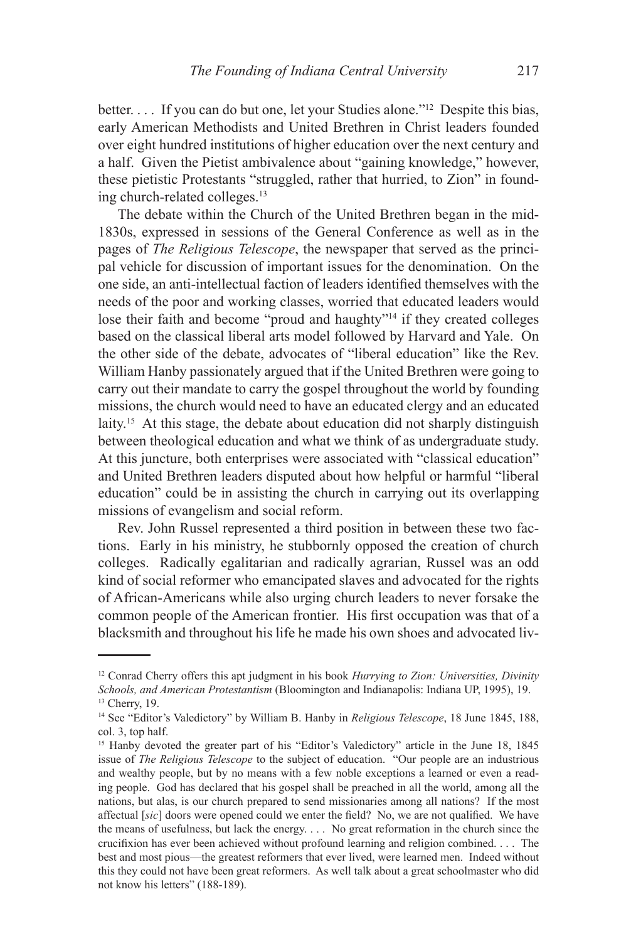better. . . . If you can do but one, let your Studies alone."12Despite this bias, early American Methodists and United Brethren in Christ leaders founded over eight hundred institutions of higher education over the next century and a half. Given the Pietist ambivalence about "gaining knowledge," however, these pietistic Protestants "struggled, rather that hurried, to Zion" in founding church-related colleges.13

The debate within the Church of the United Brethren began in the mid-1830s, expressed in sessions of the General Conference as well as in the pages of *The Religious Telescope*, the newspaper that served as the principal vehicle for discussion of important issues for the denomination. On the one side, an anti-intellectual faction of leaders identified themselves with the needs of the poor and working classes, worried that educated leaders would lose their faith and become "proud and haughty"<sup>14</sup> if they created colleges based on the classical liberal arts model followed by Harvard and Yale. On the other side of the debate, advocates of "liberal education" like the Rev. William Hanby passionately argued that if the United Brethren were going to carry out their mandate to carry the gospel throughout the world by founding missions, the church would need to have an educated clergy and an educated laity.<sup>15</sup> At this stage, the debate about education did not sharply distinguish between theological education and what we think of as undergraduate study. At this juncture, both enterprises were associated with "classical education" and United Brethren leaders disputed about how helpful or harmful "liberal education" could be in assisting the church in carrying out its overlapping missions of evangelism and social reform.

Rev. John Russel represented a third position in between these two factions. Early in his ministry, he stubbornly opposed the creation of church colleges. Radically egalitarian and radically agrarian, Russel was an odd kind of social reformer who emancipated slaves and advocated for the rights of African-Americans while also urging church leaders to never forsake the common people of the American frontier. His first occupation was that of a blacksmith and throughout his life he made his own shoes and advocated liv-

<sup>12</sup> Conrad Cherry offers this apt judgment in his book *Hurrying to Zion: Universities, Divinity Schools, and American Protestantism* (Bloomington and Indianapolis: Indiana UP, 1995), 19. <sup>13</sup> Cherry, 19.

<sup>14</sup> See "Editor's Valedictory" by William B. Hanby in *Religious Telescope*, 18 June 1845, 188, col. 3, top half.

<sup>&</sup>lt;sup>15</sup> Hanby devoted the greater part of his "Editor's Valedictory" article in the June 18, 1845 issue of *The Religious Telescope* to the subject of education. "Our people are an industrious and wealthy people, but by no means with a few noble exceptions a learned or even a reading people. God has declared that his gospel shall be preached in all the world, among all the nations, but alas, is our church prepared to send missionaries among all nations? If the most affectual [*sic*] doors were opened could we enter the field? No, we are not qualified. We have the means of usefulness, but lack the energy. . . . No great reformation in the church since the crucifixion has ever been achieved without profound learning and religion combined. . . . The best and most pious—the greatest reformers that ever lived, were learned men. Indeed without this they could not have been great reformers. As well talk about a great schoolmaster who did not know his letters" (188-189).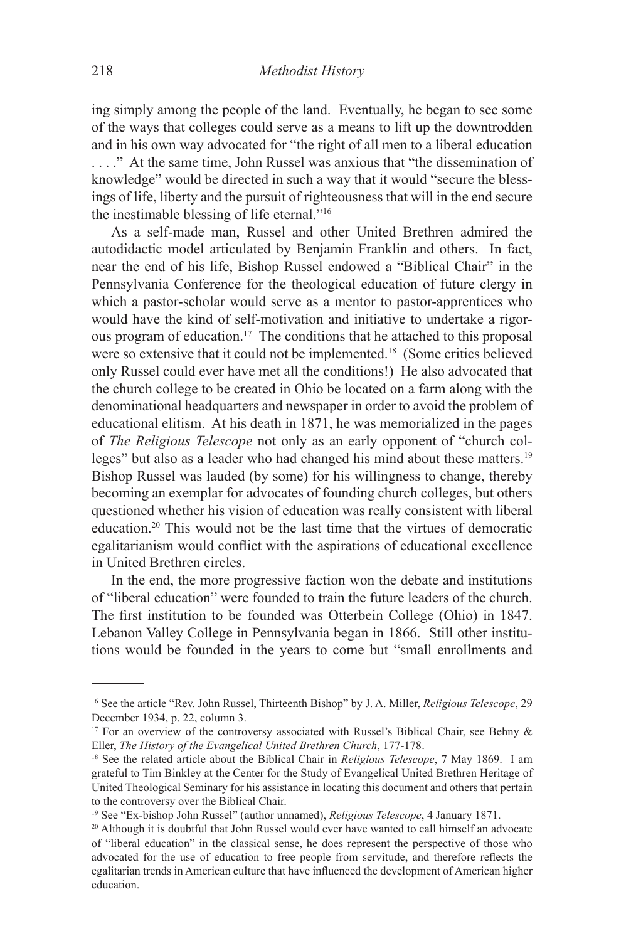ing simply among the people of the land. Eventually, he began to see some of the ways that colleges could serve as a means to lift up the downtrodden and in his own way advocated for "the right of all men to a liberal education . . . ." At the same time, John Russel was anxious that "the dissemination of knowledge" would be directed in such a way that it would "secure the blessings of life, liberty and the pursuit of righteousness that will in the end secure the inestimable blessing of life eternal."16

As a self-made man, Russel and other United Brethren admired the autodidactic model articulated by Benjamin Franklin and others. In fact, near the end of his life, Bishop Russel endowed a "Biblical Chair" in the Pennsylvania Conference for the theological education of future clergy in which a pastor-scholar would serve as a mentor to pastor-apprentices who would have the kind of self-motivation and initiative to undertake a rigorous program of education.17 The conditions that he attached to this proposal were so extensive that it could not be implemented.18 (Some critics believed only Russel could ever have met all the conditions!) He also advocated that the church college to be created in Ohio be located on a farm along with the denominational headquarters and newspaper in order to avoid the problem of educational elitism. At his death in 1871, he was memorialized in the pages of *The Religious Telescope* not only as an early opponent of "church colleges" but also as a leader who had changed his mind about these matters.<sup>19</sup> Bishop Russel was lauded (by some) for his willingness to change, thereby becoming an exemplar for advocates of founding church colleges, but others questioned whether his vision of education was really consistent with liberal education.20 This would not be the last time that the virtues of democratic egalitarianism would conflict with the aspirations of educational excellence in United Brethren circles.

In the end, the more progressive faction won the debate and institutions of "liberal education" were founded to train the future leaders of the church. The first institution to be founded was Otterbein College (Ohio) in 1847. Lebanon Valley College in Pennsylvania began in 1866. Still other institutions would be founded in the years to come but "small enrollments and

<sup>16</sup> See the article "Rev. John Russel, Thirteenth Bishop" by J. A. Miller, *Religious Telescope*, 29 December 1934, p. 22, column 3.

<sup>&</sup>lt;sup>17</sup> For an overview of the controversy associated with Russel's Biblical Chair, see Behny  $\&$ Eller, *The History of the Evangelical United Brethren Church*, 177-178.

<sup>18</sup> See the related article about the Biblical Chair in *Religious Telescope*, 7 May 1869. I am grateful to Tim Binkley at the Center for the Study of Evangelical United Brethren Heritage of United Theological Seminary for his assistance in locating this document and others that pertain to the controversy over the Biblical Chair.

<sup>19</sup> See "Ex-bishop John Russel" (author unnamed), *Religious Telescope*, 4 January 1871.

<sup>&</sup>lt;sup>20</sup> Although it is doubtful that John Russel would ever have wanted to call himself an advocate of "liberal education" in the classical sense, he does represent the perspective of those who advocated for the use of education to free people from servitude, and therefore reflects the egalitarian trends in American culture that have influenced the development of American higher education.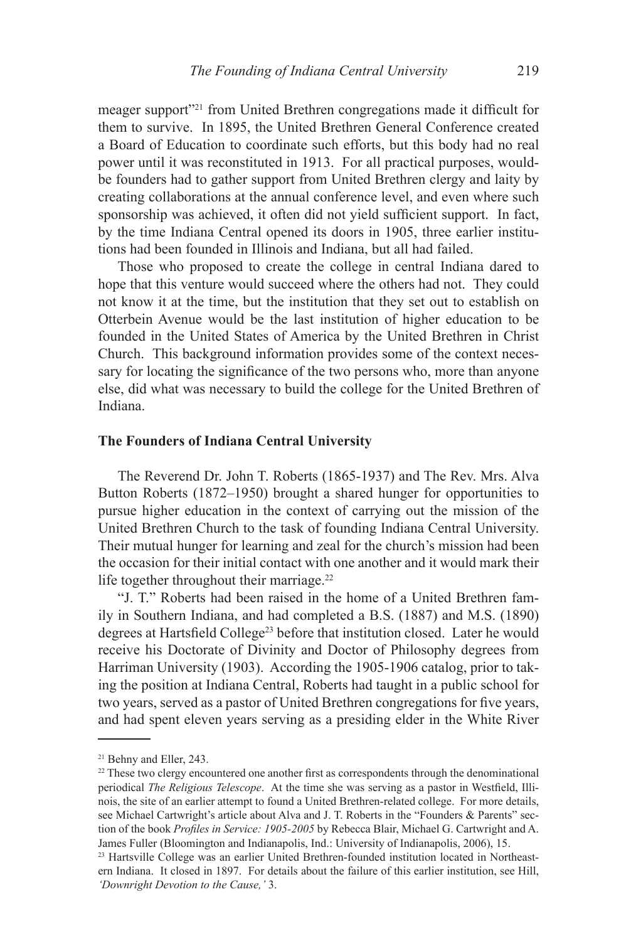meager support"21 from United Brethren congregations made it difficult for them to survive. In 1895, the United Brethren General Conference created a Board of Education to coordinate such efforts, but this body had no real power until it was reconstituted in 1913. For all practical purposes, wouldbe founders had to gather support from United Brethren clergy and laity by creating collaborations at the annual conference level, and even where such sponsorship was achieved, it often did not yield sufficient support. In fact, by the time Indiana Central opened its doors in 1905, three earlier institutions had been founded in Illinois and Indiana, but all had failed.

Those who proposed to create the college in central Indiana dared to hope that this venture would succeed where the others had not. They could not know it at the time, but the institution that they set out to establish on Otterbein Avenue would be the last institution of higher education to be founded in the United States of America by the United Brethren in Christ Church. This background information provides some of the context necessary for locating the significance of the two persons who, more than anyone else, did what was necessary to build the college for the United Brethren of Indiana.

## **The Founders of Indiana Central University**

The Reverend Dr. John T. Roberts (1865-1937) and The Rev. Mrs. Alva Button Roberts (1872–1950) brought a shared hunger for opportunities to pursue higher education in the context of carrying out the mission of the United Brethren Church to the task of founding Indiana Central University. Their mutual hunger for learning and zeal for the church's mission had been the occasion for their initial contact with one another and it would mark their life together throughout their marriage.<sup>22</sup>

"J. T." Roberts had been raised in the home of a United Brethren family in Southern Indiana, and had completed a B.S. (1887) and M.S. (1890) degrees at Hartsfield College<sup>23</sup> before that institution closed. Later he would receive his Doctorate of Divinity and Doctor of Philosophy degrees from Harriman University (1903). According the 1905-1906 catalog, prior to taking the position at Indiana Central, Roberts had taught in a public school for two years, served as a pastor of United Brethren congregations for five years, and had spent eleven years serving as a presiding elder in the White River

<sup>&</sup>lt;sup>21</sup> Behny and Eller, 243.

<sup>&</sup>lt;sup>22</sup> These two clergy encountered one another first as correspondents through the denominational periodical *The Religious Telescope*. At the time she was serving as a pastor in Westfield, Illinois, the site of an earlier attempt to found a United Brethren-related college. For more details, see Michael Cartwright's article about Alva and J. T. Roberts in the "Founders & Parents" section of the book *Profiles in Service: 1905-2005* by Rebecca Blair, Michael G. Cartwright and A. James Fuller (Bloomington and Indianapolis, Ind.: University of Indianapolis, 2006), 15.

<sup>&</sup>lt;sup>23</sup> Hartsville College was an earlier United Brethren-founded institution located in Northeastern Indiana. It closed in 1897. For details about the failure of this earlier institution, see Hill, *'Downright Devotion to the Cause,'* 3.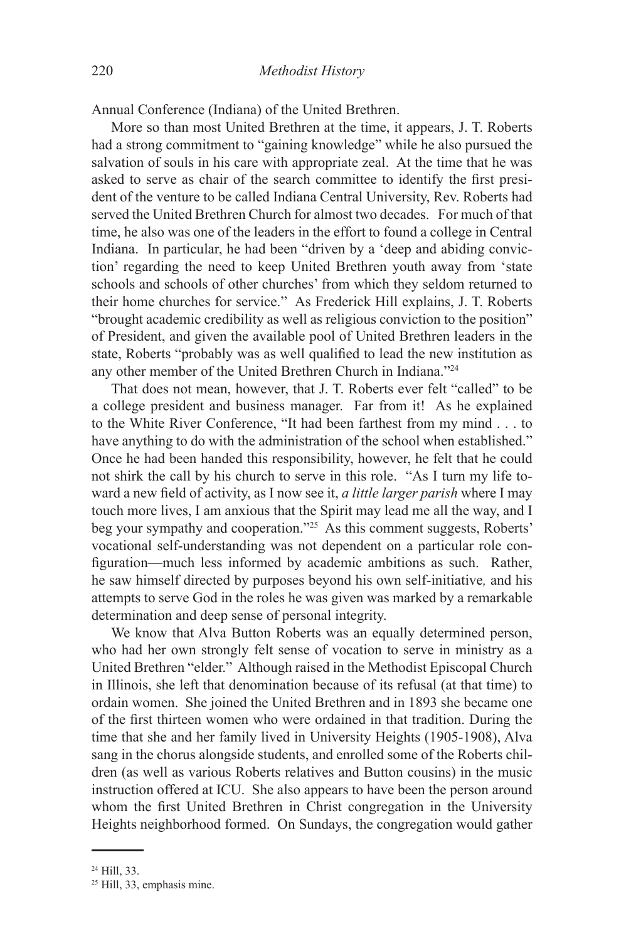Annual Conference (Indiana) of the United Brethren.

More so than most United Brethren at the time, it appears, J. T. Roberts had a strong commitment to "gaining knowledge" while he also pursued the salvation of souls in his care with appropriate zeal. At the time that he was asked to serve as chair of the search committee to identify the first president of the venture to be called Indiana Central University, Rev. Roberts had served the United Brethren Church for almost two decades. For much of that time, he also was one of the leaders in the effort to found a college in Central Indiana. In particular, he had been "driven by a 'deep and abiding conviction' regarding the need to keep United Brethren youth away from 'state schools and schools of other churches' from which they seldom returned to their home churches for service." As Frederick Hill explains, J. T. Roberts "brought academic credibility as well as religious conviction to the position" of President, and given the available pool of United Brethren leaders in the state, Roberts "probably was as well qualified to lead the new institution as any other member of the United Brethren Church in Indiana."24

That does not mean, however, that J. T. Roberts ever felt "called" to be a college president and business manager. Far from it! As he explained to the White River Conference, "It had been farthest from my mind . . . to have anything to do with the administration of the school when established." Once he had been handed this responsibility, however, he felt that he could not shirk the call by his church to serve in this role. "As I turn my life toward a new field of activity, as I now see it, *a little larger parish* where I may touch more lives, I am anxious that the Spirit may lead me all the way, and I beg your sympathy and cooperation."25 As this comment suggests, Roberts' vocational self-understanding was not dependent on a particular role configuration—much less informed by academic ambitions as such. Rather, he saw himself directed by purposes beyond his own self-initiative*,* and his attempts to serve God in the roles he was given was marked by a remarkable determination and deep sense of personal integrity.

We know that Alva Button Roberts was an equally determined person, who had her own strongly felt sense of vocation to serve in ministry as a United Brethren "elder." Although raised in the Methodist Episcopal Church in Illinois, she left that denomination because of its refusal (at that time) to ordain women. She joined the United Brethren and in 1893 she became one of the first thirteen women who were ordained in that tradition. During the time that she and her family lived in University Heights (1905-1908), Alva sang in the chorus alongside students, and enrolled some of the Roberts children (as well as various Roberts relatives and Button cousins) in the music instruction offered at ICU. She also appears to have been the person around whom the first United Brethren in Christ congregation in the University Heights neighborhood formed. On Sundays, the congregation would gather

<sup>24</sup> Hill, 33.

<sup>25</sup> Hill, 33, emphasis mine.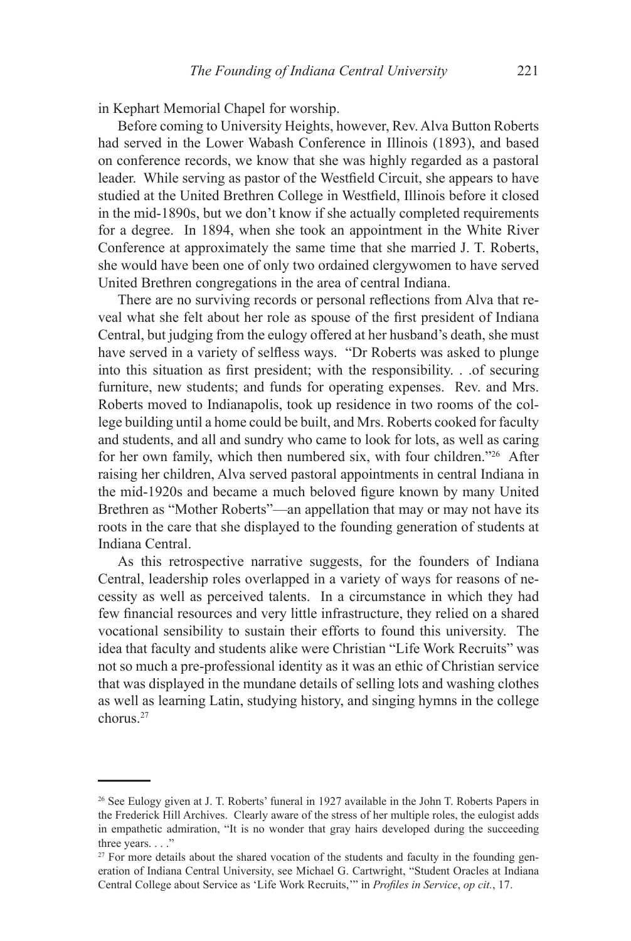in Kephart Memorial Chapel for worship.

Before coming to University Heights, however, Rev. Alva Button Roberts had served in the Lower Wabash Conference in Illinois (1893), and based on conference records, we know that she was highly regarded as a pastoral leader. While serving as pastor of the Westfield Circuit, she appears to have studied at the United Brethren College in Westfield, Illinois before it closed in the mid-1890s, but we don't know if she actually completed requirements for a degree. In 1894, when she took an appointment in the White River Conference at approximately the same time that she married J. T. Roberts, she would have been one of only two ordained clergywomen to have served United Brethren congregations in the area of central Indiana.

There are no surviving records or personal reflections from Alva that reveal what she felt about her role as spouse of the first president of Indiana Central, but judging from the eulogy offered at her husband's death, she must have served in a variety of selfless ways. "Dr Roberts was asked to plunge into this situation as first president; with the responsibility. . .of securing furniture, new students; and funds for operating expenses. Rev. and Mrs. Roberts moved to Indianapolis, took up residence in two rooms of the college building until a home could be built, and Mrs. Roberts cooked for faculty and students, and all and sundry who came to look for lots, as well as caring for her own family, which then numbered six, with four children."26 After raising her children, Alva served pastoral appointments in central Indiana in the mid-1920s and became a much beloved figure known by many United Brethren as "Mother Roberts"—an appellation that may or may not have its roots in the care that she displayed to the founding generation of students at Indiana Central.

As this retrospective narrative suggests, for the founders of Indiana Central, leadership roles overlapped in a variety of ways for reasons of necessity as well as perceived talents. In a circumstance in which they had few financial resources and very little infrastructure, they relied on a shared vocational sensibility to sustain their efforts to found this university. The idea that faculty and students alike were Christian "Life Work Recruits" was not so much a pre-professional identity as it was an ethic of Christian service that was displayed in the mundane details of selling lots and washing clothes as well as learning Latin, studying history, and singing hymns in the college chorus<sup>27</sup>

<sup>26</sup> See Eulogy given at J. T. Roberts' funeral in 1927 available in the John T. Roberts Papers in the Frederick Hill Archives. Clearly aware of the stress of her multiple roles, the eulogist adds in empathetic admiration, "It is no wonder that gray hairs developed during the succeeding three years. . . ."

 $27$  For more details about the shared vocation of the students and faculty in the founding generation of Indiana Central University, see Michael G. Cartwright, "Student Oracles at Indiana Central College about Service as 'Life Work Recruits,'" in *Profiles in Service*, *op cit.*, 17.